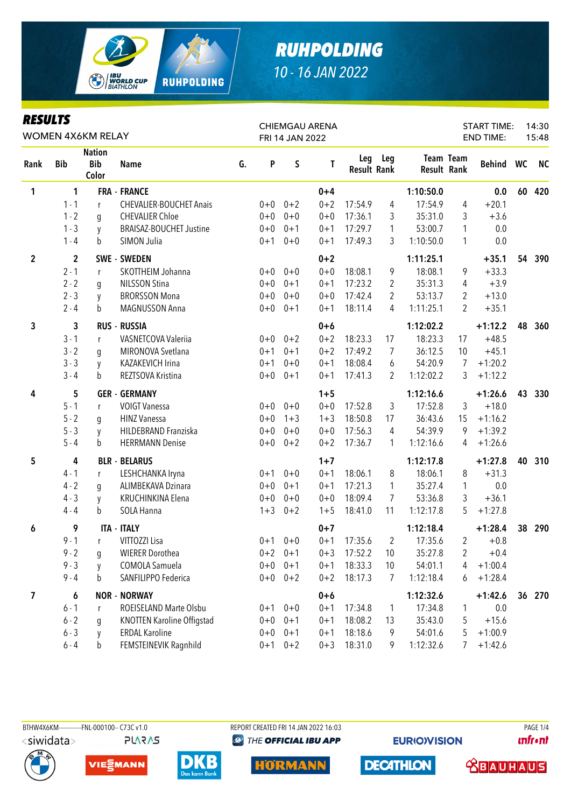

| KEYULIY        |              | WOMEN 4X6KM RELAY                    |                                   |    |         | FRI 14 JAN 2022 | <b>CHIEMGAU ARENA</b> |                           |                |                    |                | <b>START TIME:</b><br><b>END TIME:</b> |                 | 14:30<br>15:48 |
|----------------|--------------|--------------------------------------|-----------------------------------|----|---------|-----------------|-----------------------|---------------------------|----------------|--------------------|----------------|----------------------------------------|-----------------|----------------|
| Rank           | <b>Bib</b>   | <b>Nation</b><br><b>Bib</b><br>Color | <b>Name</b>                       | G. | P       | $\sf S$         | T                     | Leg<br><b>Result Rank</b> | Leg            | <b>Result Rank</b> | Team Team      | Behind WC                              |                 | <b>NC</b>      |
| 1              | 1            |                                      | <b>FRA - FRANCE</b>               |    |         |                 | $0 + 4$               |                           |                | 1:10:50.0          |                | 0.0                                    | 60              | 420            |
|                | $1 - 1$      | r                                    | <b>CHEVALIER-BOUCHET Anais</b>    |    | $0 + 0$ | $0 + 2$         | $0 + 2$               | 17:54.9                   | $\overline{4}$ | 17:54.9            | 4              | $+20.1$                                |                 |                |
|                | $1 - 2$      | q                                    | <b>CHEVALIER Chloe</b>            |    | $0 + 0$ | $0 + 0$         | $0 + 0$               | 17:36.1                   | 3              | 35:31.0            | 3              | $+3.6$                                 |                 |                |
|                | $1 - 3$      | y                                    | <b>BRAISAZ-BOUCHET Justine</b>    |    | $0+0$   | $0 + 1$         | $0 + 1$               | 17:29.7                   | $\mathbf{1}$   | 53:00.7            | 1              | 0.0                                    |                 |                |
|                | $1 - 4$      | b                                    | SIMON Julia                       |    | $0 + 1$ | $0+0$           | $0 + 1$               | 17:49.3                   | 3              | 1:10:50.0          | 1              | 0.0                                    |                 |                |
| $\overline{2}$ | $\mathbf{2}$ |                                      | <b>SWE - SWEDEN</b>               |    |         |                 | $0 + 2$               |                           |                | 1:11:25.1          |                | $+35.1$                                | 54              | 390            |
|                | $2 - 1$      | r                                    | SKOTTHEIM Johanna                 |    | $0+0$   | $0 + 0$         | $0 + 0$               | 18:08.1                   | 9              | 18:08.1            | 9              | $+33.3$                                |                 |                |
|                | $2 - 2$      | g                                    | <b>NILSSON Stina</b>              |    | $0 + 0$ | $0 + 1$         | $0 + 1$               | 17:23.2                   | 2              | 35:31.3            | 4              | $+3.9$                                 |                 |                |
|                | $2 - 3$      | y                                    | <b>BRORSSON Mona</b>              |    | $0 + 0$ | $0 + 0$         | $0 + 0$               | 17:42.4                   | $\overline{2}$ | 53:13.7            | $\overline{2}$ | $+13.0$                                |                 |                |
|                | $2 - 4$      | b                                    | MAGNUSSON Anna                    |    | $0+0$   | $0 + 1$         | $0 + 1$               | 18:11.4                   | 4              | 1:11:25.1          | 2              | $+35.1$                                |                 |                |
| 3              | 3            |                                      | <b>RUS - RUSSIA</b>               |    |         |                 | $0 + 6$               |                           |                | 1:12:02.2          |                | $+1:12.2$                              | 48              | 360            |
|                | $3 - 1$      | r                                    | VASNETCOVA Valeriia               |    | $0 + 0$ | $0 + 2$         | $0 + 2$               | 18:23.3                   | 17             | 18:23.3            | 17             | $+48.5$                                |                 |                |
|                | $3 - 2$      | q                                    | MIRONOVA Svetlana                 |    | $0 + 1$ | $0 + 1$         | $0 + 2$               | 17:49.2                   | 7              | 36:12.5            | 10             | $+45.1$                                |                 |                |
|                | $3 - 3$      | y                                    | KAZAKEVICH Irina                  |    | $0 + 1$ | $0 + 0$         | $0 + 1$               | 18:08.4                   | 6              | 54:20.9            | 7              | $+1:20.2$                              |                 |                |
|                | $3 - 4$      | b                                    | REZTSOVA Kristina                 |    | $0 + 0$ | $0 + 1$         | $0 + 1$               | 17:41.3                   | $\overline{2}$ | 1:12:02.2          | 3              | $+1:12.2$                              |                 |                |
| 4              | 5            |                                      | <b>GER - GERMANY</b>              |    |         |                 | $1 + 5$               |                           |                | 1:12:16.6          |                | $+1:26.6$                              | 43              | 330            |
|                | $5 - 1$      | r                                    | <b>VOIGT Vanessa</b>              |    | $0+0$   | $0 + 0$         | $0 + 0$               | 17:52.8                   | 3              | 17:52.8            | 3              | $+18.0$                                |                 |                |
|                | $5 - 2$      | g                                    | <b>HINZ Vanessa</b>               |    | $0 + 0$ | $1 + 3$         | $1 + 3$               | 18:50.8                   | 17             | 36:43.6            | 15             | $+1:16.2$                              |                 |                |
|                | $5 - 3$      | y                                    | HILDEBRAND Franziska              |    | $0 + 0$ | $0 + 0$         | $0 + 0$               | 17:56.3                   | 4              | 54:39.9            | 9              | $+1:39.2$                              |                 |                |
|                | $5 - 4$      | b                                    | <b>HERRMANN Denise</b>            |    | $0+0$   | $0 + 2$         | $0 + 2$               | 17:36.7                   | $\mathbf{1}$   | 1:12:16.6          | 4              | $+1:26.6$                              |                 |                |
| 5              | 4            |                                      | <b>BLR - BELARUS</b>              |    |         |                 | $1 + 7$               |                           |                | 1:12:17.8          |                | $+1:27.8$                              | 40              | 310            |
|                | $4 - 1$      | r                                    | LESHCHANKA Iryna                  |    | $0 + 1$ | $0 + 0$         | $0 + 1$               | 18:06.1                   | 8              | 18:06.1            | 8              | $+31.3$                                |                 |                |
|                | $4 - 2$      | g                                    | ALIMBEKAVA Dzinara                |    | $0+0$   | $0 + 1$         | $0 + 1$               | 17:21.3                   | $\mathbf{1}$   | 35:27.4            | $\mathbf{1}$   | 0.0                                    |                 |                |
|                | $4 - 3$      | y                                    | KRUCHINKINA Elena                 |    | $0+0$   | $0 + 0$         | $0 + 0$               | 18:09.4                   | 7              | 53:36.8            | 3              | $+36.1$                                |                 |                |
|                | $4 - 4$      | b                                    | SOLA Hanna                        |    | $1 + 3$ | $0 + 2$         | $1 + 5$               | 18:41.0                   | 11             | 1:12:17.8          | 5              | $+1:27.8$                              |                 |                |
| 6              | 9            |                                      | <b>ITA - ITALY</b>                |    |         |                 | $0 + 7$               |                           |                | 1:12:18.4          |                | $+1:28.4$                              | 38              | 290            |
|                | $9 - 1$      | r                                    | VITTOZZI Lisa                     |    |         | $0+1$ $0+0$     | $0 + 1$               | 17:35.6                   | $\overline{2}$ | 17:35.6            | 2              | $+0.8$                                 |                 |                |
|                | $9 - 2$      | g                                    | <b>WIERER Dorothea</b>            |    | $0 + 2$ | $0 + 1$         | $0 + 3$               | 17:52.2                   | 10             | 35:27.8            | 2              | $+0.4$                                 |                 |                |
|                | $9 - 3$      | y                                    | COMOLA Samuela                    |    | $0 + 0$ | $0 + 1$         | $0 + 1$               | 18:33.3                   | 10             | 54:01.1            | 4              | $+1:00.4$                              |                 |                |
|                | $9 - 4$      | b                                    | SANFILIPPO Federica               |    | $0+0$   | $0 + 2$         | $0 + 2$               | 18:17.3                   | $\overline{7}$ | 1:12:18.4          | 6              | $+1:28.4$                              |                 |                |
| 7              | 6            |                                      | <b>NOR - NORWAY</b>               |    |         |                 | $0+6$                 |                           |                | 1:12:32.6          |                | $+1:42.6$                              | 36 <sub>2</sub> | 270            |
|                | $6 - 1$      | r                                    | ROEISELAND Marte Olsbu            |    | $0 + 1$ | $0 + 0$         | $0 + 1$               | 17:34.8                   | 1              | 17:34.8            | 1              | 0.0                                    |                 |                |
|                | $6 - 2$      | g                                    | <b>KNOTTEN Karoline Offigstad</b> |    | $0 + 0$ | $0 + 1$         | $0 + 1$               | 18:08.2                   | 13             | 35:43.0            | 5              | $+15.6$                                |                 |                |
|                | $6 - 3$      | y                                    | <b>ERDAL Karoline</b>             |    | $0 + 0$ | $0 + 1$         | $0 + 1$               | 18:18.6                   | 9              | 54:01.6            | 5              | $+1:00.9$                              |                 |                |
|                | $6 - 4$      | $\mathsf b$                          | FEMSTEINEVIK Ragnhild             |    | $0 + 1$ | $0 + 2$         | $0 + 3$               | 18:31.0                   | 9              | 1:12:32.6          | 7              | $+1:42.6$                              |                 |                |

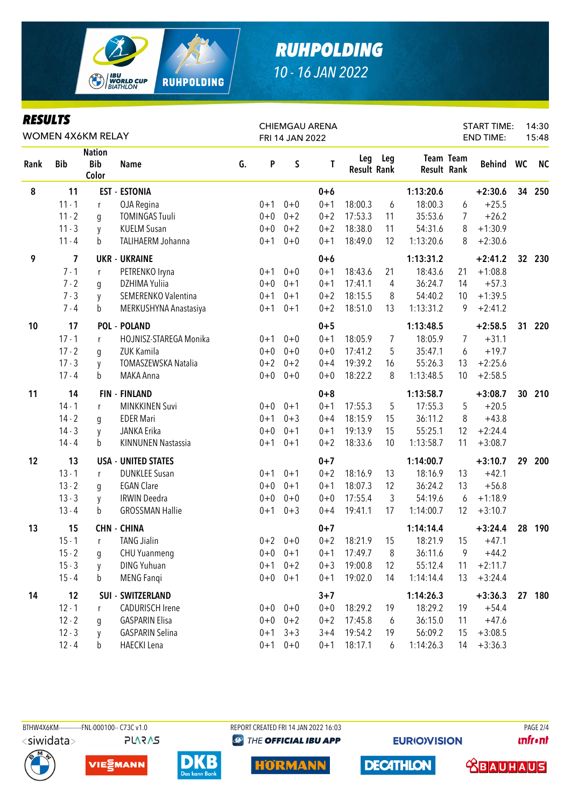

| KEYULIY |            | WOMEN 4X6KM RELAY                    |                            |    |         | FRI 14 JAN 2022 | <b>CHIEMGAU ARENA</b> |                           |     |                    |                | <b>START TIME:</b><br><b>END TIME:</b> |                 | 14:30<br>15:48 |
|---------|------------|--------------------------------------|----------------------------|----|---------|-----------------|-----------------------|---------------------------|-----|--------------------|----------------|----------------------------------------|-----------------|----------------|
| Rank    | <b>Bib</b> | <b>Nation</b><br><b>Bib</b><br>Color | <b>Name</b>                | G. | P       | S               | T                     | Leg<br><b>Result Rank</b> | Leg | <b>Result Rank</b> | Team Team      | Behind WC                              |                 | <b>NC</b>      |
| 8       | 11         |                                      | <b>EST - ESTONIA</b>       |    |         |                 | $0 + 6$               |                           |     | 1:13:20.6          |                | $+2:30.6$                              | 34              | 250            |
|         | $11 - 1$   | r                                    | OJA Regina                 |    | $0 + 1$ | $0 + 0$         | $0 + 1$               | 18:00.3                   | 6   | 18:00.3            | 6              | $+25.5$                                |                 |                |
|         | $11 - 2$   | g                                    | <b>TOMINGAS Tuuli</b>      |    | $0 + 0$ | $0 + 2$         | $0 + 2$               | 17:53.3                   | 11  | 35:53.6            | $\overline{7}$ | $+26.2$                                |                 |                |
|         | $11 - 3$   | y                                    | <b>KUELM Susan</b>         |    | $0 + 0$ | $0 + 2$         | $0 + 2$               | 18:38.0                   | 11  | 54:31.6            | 8              | $+1:30.9$                              |                 |                |
|         | $11 - 4$   | b                                    | TALIHAERM Johanna          |    | $0 + 1$ | $0+0$           | $0 + 1$               | 18:49.0                   | 12  | 1:13:20.6          | 8              | $+2:30.6$                              |                 |                |
| 9       | 7          |                                      | <b>UKR - UKRAINE</b>       |    |         |                 | $0 + 6$               |                           |     | 1:13:31.2          |                | $+2:41.2$                              | 32 <sub>2</sub> | 230            |
|         | $7 - 1$    | r                                    | PETRENKO Iryna             |    | $0 + 1$ | $0 + 0$         | $0 + 1$               | 18:43.6                   | 21  | 18:43.6            | 21             | $+1:08.8$                              |                 |                |
|         | $7 - 2$    | g                                    | DZHIMA Yuliia              |    | $0 + 0$ | $0 + 1$         | $0 + 1$               | 17:41.1                   | 4   | 36:24.7            | 14             | $+57.3$                                |                 |                |
|         | $7 - 3$    | y                                    | SEMERENKO Valentina        |    | $0 + 1$ | $0 + 1$         | $0 + 2$               | 18:15.5                   | 8   | 54:40.2            | 10             | $+1:39.5$                              |                 |                |
|         | $7 - 4$    | b                                    | MERKUSHYNA Anastasiya      |    | $0 + 1$ | $0 + 1$         | $0 + 2$               | 18:51.0                   | 13  | 1:13:31.2          | 9              | $+2:41.2$                              |                 |                |
| 10      | 17         |                                      | <b>POL - POLAND</b>        |    |         |                 | $0 + 5$               |                           |     | 1:13:48.5          |                | $+2:58.5$                              | 31              | 220            |
|         | $17 - 1$   | r                                    | HOJNISZ-STAREGA Monika     |    | $0 + 1$ | $0 + 0$         | $0 + 1$               | 18:05.9                   | 7   | 18:05.9            | 7              | $+31.1$                                |                 |                |
|         | $17 - 2$   | q                                    | ZUK Kamila                 |    | $0 + 0$ | $0 + 0$         | $0 + 0$               | 17:41.2                   | 5   | 35:47.1            | 6              | $+19.7$                                |                 |                |
|         | $17 - 3$   | y                                    | TOMASZEWSKA Natalia        |    | $0 + 2$ | $0 + 2$         | $0 + 4$               | 19:39.2                   | 16  | 55:26.3            | 13             | $+2:25.6$                              |                 |                |
|         | $17 - 4$   | b                                    | MAKA Anna                  |    | $0 + 0$ | $0 + 0$         | $0 + 0$               | 18:22.2                   | 8   | 1:13:48.5          | 10             | $+2:58.5$                              |                 |                |
| 11      | 14         |                                      | <b>FIN - FINLAND</b>       |    |         |                 | $0 + 8$               |                           |     | 1:13:58.7          |                | $+3:08.7$                              | 30              | 210            |
|         | $14 - 1$   | r                                    | <b>MINKKINEN Suvi</b>      |    | $0+0$   | $0 + 1$         | $0 + 1$               | 17:55.3                   | 5   | 17:55.3            | 5              | $+20.5$                                |                 |                |
|         | $14 - 2$   | g                                    | <b>EDER Mari</b>           |    | $0 + 1$ | $0 + 3$         | $0 + 4$               | 18:15.9                   | 15  | 36:11.2            | 8              | $+43.8$                                |                 |                |
|         | $14 - 3$   | y                                    | JANKA Erika                |    | $0 + 0$ | $0 + 1$         | $0 + 1$               | 19:13.9                   | 15  | 55:25.1            | 12             | $+2:24.4$                              |                 |                |
|         | $14 - 4$   | b                                    | <b>KINNUNEN Nastassia</b>  |    | $0 + 1$ | $0 + 1$         | $0 + 2$               | 18:33.6                   | 10  | 1:13:58.7          | 11             | $+3:08.7$                              |                 |                |
| 12      | 13         |                                      | <b>USA - UNITED STATES</b> |    |         |                 | $0 + 7$               |                           |     | 1:14:00.7          |                | $+3:10.7$                              | 29              | 200            |
|         | $13 - 1$   | $\mathsf{r}$                         | <b>DUNKLEE Susan</b>       |    | $0 + 1$ | $0 + 1$         | $0 + 2$               | 18:16.9                   | 13  | 18:16.9            | 13             | $+42.1$                                |                 |                |
|         | $13 - 2$   | g                                    | <b>EGAN Clare</b>          |    | $0 + 0$ | $0 + 1$         | $0 + 1$               | 18:07.3                   | 12  | 36:24.2            | 13             | $+56.8$                                |                 |                |
|         | $13 - 3$   | y                                    | <b>IRWIN Deedra</b>        |    | $0 + 0$ | $0+0$           | $0+0$                 | 17:55.4                   | 3   | 54:19.6            | 6              | $+1:18.9$                              |                 |                |
|         | $13 - 4$   | b                                    | <b>GROSSMAN Hallie</b>     |    | $0 + 1$ | $0 + 3$         | $0 + 4$               | 19:41.1                   | 17  | 1:14:00.7          | 12             | $+3:10.7$                              |                 |                |
| 13      | 15         |                                      | <b>CHN - CHINA</b>         |    |         |                 | $0 + 7$               |                           |     | 1:14:14.4          |                | $+3:24.4$                              | 28              | 190            |
|         | $15 - 1$   | r                                    | <b>TANG Jialin</b>         |    |         | $0+2$ 0+0       | $0 + 2$               | 18:21.9                   | 15  | 18:21.9            | 15             | $+47.1$                                |                 |                |
|         | $15 - 2$   | g                                    | CHU Yuanmeng               |    |         | $0+0$ $0+1$     | $0 + 1$               | 17:49.7                   | 8   | 36:11.6            | 9              | $+44.2$                                |                 |                |
|         | $15 - 3$   | y                                    | <b>DING Yuhuan</b>         |    | $0 + 1$ | $0 + 2$         | $0 + 3$               | 19:00.8                   | 12  | 55:12.4            | 11             | $+2:11.7$                              |                 |                |
|         | $15 - 4$   | b                                    | <b>MENG Fangi</b>          |    | $0 + 0$ | $0 + 1$         | $0 + 1$               | 19:02.0                   | 14  | 1:14:14.4          | 13             | $+3:24.4$                              |                 |                |
| 14      | 12         |                                      | SUI - SWITZERLAND          |    |         |                 | $3 + 7$               |                           |     | 1:14:26.3          |                | $+3:36.3$                              |                 | 27 180         |
|         | $12 - 1$   | r                                    | <b>CADURISCH Irene</b>     |    |         | $0+0$ 0+0       | $0 + 0$               | 18:29.2                   | 19  | 18:29.2            | 19             | $+54.4$                                |                 |                |
|         | $12 - 2$   | g                                    | <b>GASPARIN Elisa</b>      |    | $0 + 0$ | $0 + 2$         | $0 + 2$               | 17:45.8                   | 6   | 36:15.0            | 11             | $+47.6$                                |                 |                |
|         | $12 - 3$   | y                                    | <b>GASPARIN Selina</b>     |    | $0 + 1$ | $3 + 3$         | $3 + 4$               | 19:54.2                   | 19  | 56:09.2            | 15             | $+3:08.5$                              |                 |                |
|         | $12 - 4$   | b                                    | <b>HAECKI</b> Lena         |    | $0 + 1$ | $0 + 0$         | $0 + 1$               | 18:17.1                   | 6   | 1:14:26.3          | 14             | $+3:36.3$                              |                 |                |

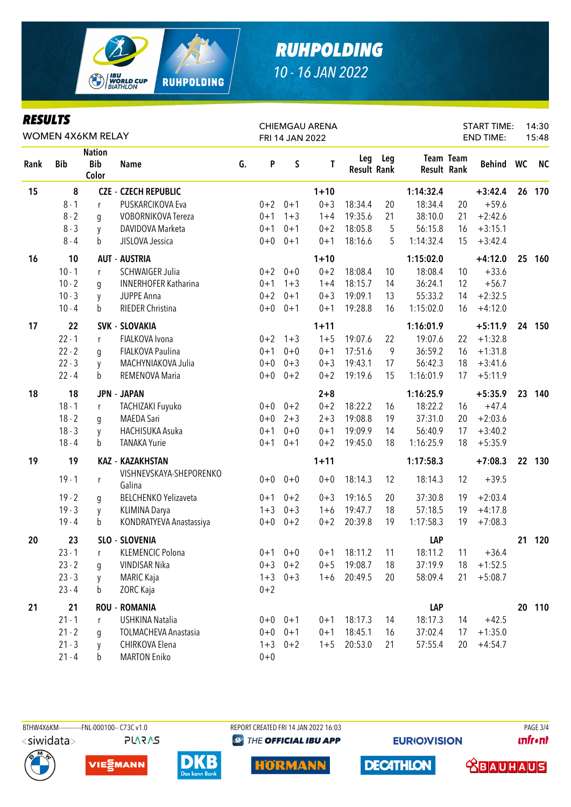

| Kesulis |            | WOMEN 4X6KM RELAY                    |                                   |    |         | FRI 14 JAN 2022 | <b>CHIEMGAU ARENA</b> |                           |     |            |                                 | <b>START TIME:</b><br><b>END TIME:</b> |    | 14:30<br>15:48 |
|---------|------------|--------------------------------------|-----------------------------------|----|---------|-----------------|-----------------------|---------------------------|-----|------------|---------------------------------|----------------------------------------|----|----------------|
| Rank    | <b>Bib</b> | <b>Nation</b><br><b>Bib</b><br>Color | <b>Name</b>                       | G. | P       | $\sf S$         | T                     | Leg<br><b>Result Rank</b> | Leg |            | Team Team<br><b>Result Rank</b> | Behind WC                              |    | <b>NC</b>      |
| 15      | 8          |                                      | <b>CZE - CZECH REPUBLIC</b>       |    |         |                 | $1 + 10$              |                           |     | 1:14:32.4  |                                 | $+3:42.4$                              | 26 | 170            |
|         | $8 - 1$    | r                                    | PUSKARCIKOVA Eva                  |    | $0 + 2$ | $0 + 1$         | $0 + 3$               | 18:34.4                   | 20  | 18:34.4    | 20                              | $+59.6$                                |    |                |
|         | $8 - 2$    | g                                    | <b>VOBORNIKOVA Tereza</b>         |    | $0 + 1$ | $1 + 3$         | $1 + 4$               | 19:35.6                   | 21  | 38:10.0    | 21                              | $+2:42.6$                              |    |                |
|         | $8 - 3$    | y                                    | DAVIDOVA Marketa                  |    | $0 + 1$ | $0 + 1$         | $0 + 2$               | 18:05.8                   | 5   | 56:15.8    | 16                              | $+3:15.1$                              |    |                |
|         | $8 - 4$    | b                                    | JISLOVA Jessica                   |    | $0+0$   | $0 + 1$         | $0 + 1$               | 18:16.6                   | 5   | 1:14:32.4  | 15                              | $+3:42.4$                              |    |                |
| 16      | 10         |                                      | <b>AUT - AUSTRIA</b>              |    |         |                 | $1 + 10$              |                           |     | 1:15:02.0  |                                 | $+4:12.0$                              | 25 | 160            |
|         | $10 - 1$   | r                                    | <b>SCHWAIGER Julia</b>            |    | $0 + 2$ | $0 + 0$         | $0 + 2$               | 18:08.4                   | 10  | 18:08.4    | 10                              | $+33.6$                                |    |                |
|         | $10 - 2$   | g                                    | <b>INNERHOFER Katharina</b>       |    | $0 + 1$ | $1 + 3$         | $1 + 4$               | 18:15.7                   | 14  | 36:24.1    | 12                              | $+56.7$                                |    |                |
|         | $10 - 3$   | y                                    | JUPPE Anna                        |    | $0 + 2$ | $0 + 1$         | $0 + 3$               | 19:09.1                   | 13  | 55:33.2    | 14                              | $+2:32.5$                              |    |                |
|         | $10 - 4$   | b                                    | RIEDER Christina                  |    | $0+0$   | $0 + 1$         | $0 + 1$               | 19:28.8                   | 16  | 1:15:02.0  | 16                              | $+4:12.0$                              |    |                |
| 17      | 22         |                                      | <b>SVK - SLOVAKIA</b>             |    |         |                 | $1 + 11$              |                           |     | 1:16:01.9  |                                 | $+5:11.9$                              |    | 24 150         |
|         | $22 - 1$   | r                                    | FIALKOVA Ivona                    |    | $0 + 2$ | $1 + 3$         | $1 + 5$               | 19:07.6                   | 22  | 19:07.6    | 22                              | $+1:32.8$                              |    |                |
|         | $22 - 2$   | q                                    | FIALKOVA Paulina                  |    | $0 + 1$ | $0 + 0$         | $0 + 1$               | 17:51.6                   | 9   | 36:59.2    | 16                              | $+1:31.8$                              |    |                |
|         | $22 - 3$   | y                                    | MACHYNIAKOVA Julia                |    | $0+0$   | $0 + 3$         | $0 + 3$               | 19:43.1                   | 17  | 56:42.3    | 18                              | $+3:41.6$                              |    |                |
|         | $22 - 4$   | b                                    | REMENOVA Maria                    |    | $0+0$   | $0 + 2$         | $0 + 2$               | 19:19.6                   | 15  | 1:16:01.9  | 17                              | $+5:11.9$                              |    |                |
| 18      | 18         |                                      | <b>JPN - JAPAN</b>                |    |         |                 | $2 + 8$               |                           |     | 1:16:25.9  |                                 | $+5:35.9$                              | 23 | 140            |
|         | $18 - 1$   | r                                    | TACHIZAKI Fuyuko                  |    |         | $0+0$ $0+2$     | $0 + 2$               | 18:22.2                   | 16  | 18:22.2    | 16                              | $+47.4$                                |    |                |
|         | $18 - 2$   | g                                    | <b>MAEDA Sari</b>                 |    | $0 + 0$ | $2 + 3$         | $2 + 3$               | 19:08.8                   | 19  | 37:31.0    | 20                              | $+2:03.6$                              |    |                |
|         | $18 - 3$   | y                                    | HACHISUKA Asuka                   |    | $0 + 1$ | $0 + 0$         | $0 + 1$               | 19:09.9                   | 14  | 56:40.9    | 17                              | $+3:40.2$                              |    |                |
|         | $18 - 4$   | b                                    | <b>TANAKA Yurie</b>               |    | $0 + 1$ | $0 + 1$         | $0 + 2$               | 19:45.0                   | 18  | 1:16:25.9  | 18                              | $+5:35.9$                              |    |                |
| 19      | 19         |                                      | <b>KAZ - KAZAKHSTAN</b>           |    |         |                 | $1 + 11$              |                           |     | 1:17:58.3  |                                 | $+7:08.3$                              |    | 22 130         |
|         | $19 - 1$   | r                                    | VISHNEVSKAYA-SHEPORENKO<br>Galina |    | $0+0$   | $0 + 0$         | $0 + 0$               | 18:14.3                   | 12  | 18:14.3    | 12                              | $+39.5$                                |    |                |
|         | $19 - 2$   | g                                    | <b>BELCHENKO Yelizaveta</b>       |    | $0 + 1$ | $0 + 2$         | $0 + 3$               | 19:16.5                   | 20  | 37:30.8    | 19                              | $+2:03.4$                              |    |                |
|         | $19 - 3$   | y                                    | KLIMINA Darya                     |    | $1 + 3$ | $0 + 3$         | $1 + 6$               | 19:47.7                   | 18  | 57:18.5    | 19                              | $+4:17.8$                              |    |                |
|         | $19 - 4$   | $\mathbf b$                          | KONDRATYEVA Anastassiya           |    | $0 + 0$ | $0 + 2$         | $0 + 2$               | 20:39.8                   | 19  | 1:17:58.3  | 19                              | $+7:08.3$                              |    |                |
| 20      | 23         |                                      | SLO - SLOVENIA                    |    |         |                 |                       |                           |     | LAP        |                                 |                                        | 21 | 120            |
|         | $23 - 1$   | r                                    | <b>KLEMENCIC Polona</b>           |    |         | $0+1$ $0+0$     | $0 + 1$               | 18:11.2                   | 11  | 18:11.2    | 11                              | $+36.4$                                |    |                |
|         | $23 - 2$   | g                                    | VINDISAR Nika                     |    | $0 + 3$ | $0 + 2$         | $0 + 5$               | 19:08.7                   | 18  | 37:19.9    | 18                              | $+1:52.5$                              |    |                |
|         | $23 - 3$   | y                                    | <b>MARIC Kaja</b>                 |    | $1 + 3$ | $0 + 3$         | $1 + 6$               | 20:49.5                   | 20  | 58:09.4    | 21                              | $+5:08.7$                              |    |                |
|         | $23 - 4$   | b                                    | ZORC Kaja                         |    | $0 + 2$ |                 |                       |                           |     |            |                                 |                                        |    |                |
| 21      | 21         |                                      | <b>ROU - ROMANIA</b>              |    |         |                 |                       |                           |     | <b>LAP</b> |                                 |                                        |    | 20 110         |
|         | $21 - 1$   | r                                    | USHKINA Natalia                   |    |         | $0+0$ $0+1$     | $0 + 1$               | 18:17.3                   | 14  | 18:17.3    | 14                              | $+42.5$                                |    |                |
|         | $21 - 2$   | g                                    | <b>TOLMACHEVA Anastasia</b>       |    | $0+0$   | $0 + 1$         | $0 + 1$               | 18:45.1                   | 16  | 37:02.4    | 17                              | $+1:35.0$                              |    |                |
|         | $21 - 3$   | y                                    | CHIRKOVA Elena                    |    | $1 + 3$ | $0 + 2$         | $1 + 5$               | 20:53.0                   | 21  | 57:55.4    | 20                              | $+4:54.7$                              |    |                |
|         | $21 - 4$   | $\mathsf b$                          | <b>MARTON Eniko</b>               |    | $0 + 0$ |                 |                       |                           |     |            |                                 |                                        |    |                |